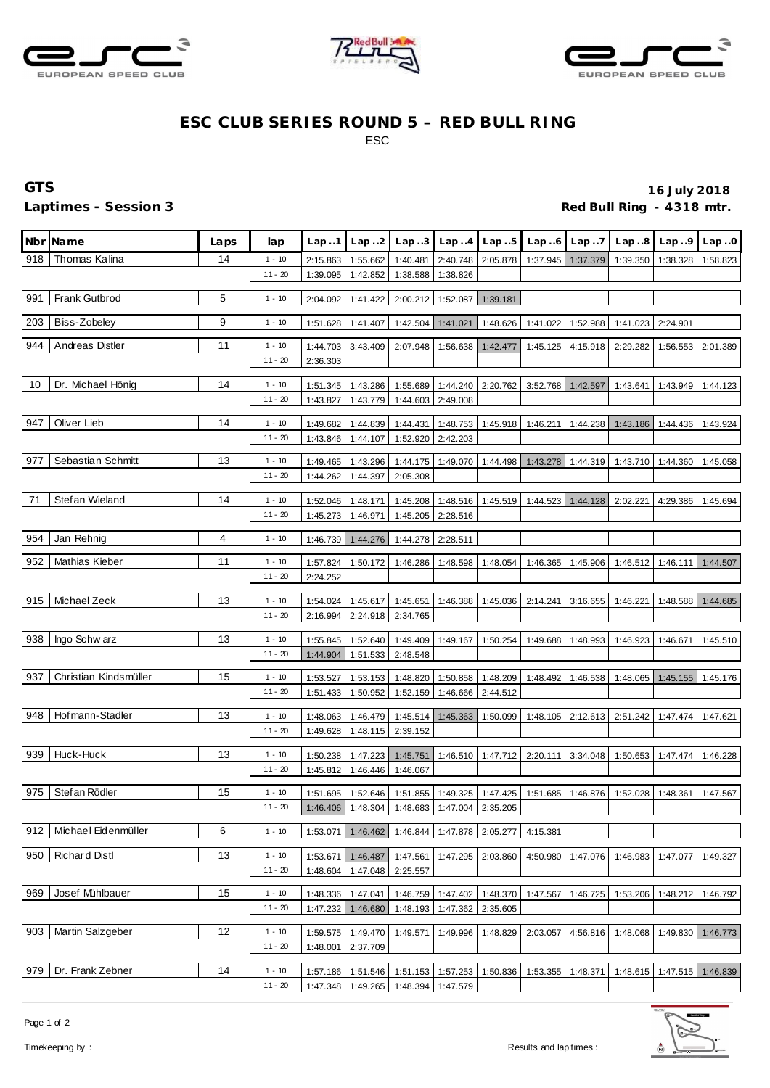





## **ESC CLUB SERIES ROUND 5 – RED BULL RING** ESC

**GTS 16 July 2018** Laptimes - Session 3 *Red Bull Ring - 4318 mtr.* 

|     | Nbr Name                  | Laps | lap                   | Lap.1    |                                              |                   |                   |                                                                 |                                     |                   | Lap2 Lap3 Lap4 Lap5 Lap6 Lap7 Lap8 Lap9 Lap0 |          |          |
|-----|---------------------------|------|-----------------------|----------|----------------------------------------------|-------------------|-------------------|-----------------------------------------------------------------|-------------------------------------|-------------------|----------------------------------------------|----------|----------|
| 918 | Thomas Kalina             | 14   | $1 - 10$              | 2:15.863 | 1:55.662                                     | 1:40.481          |                   | 2:40.748 2:05.878 1:37.945 1:37.379 1:39.350                    |                                     |                   |                                              | 1:38.328 | 1:58.823 |
|     |                           |      | $11 - 20$             | 1:39.095 | 1:42.852                                     | 1:38.588          | 1:38.826          |                                                                 |                                     |                   |                                              |          |          |
| 991 | <b>Frank Gutbrod</b>      | 5    | $1 - 10$              | 2:04.092 | 1:41.422                                     |                   | 2:00.212 1:52.087 | 1:39.181                                                        |                                     |                   |                                              |          |          |
|     |                           |      |                       |          |                                              |                   |                   |                                                                 |                                     |                   |                                              |          |          |
| 203 | Bliss-Zobeley             | 9    | $1 - 10$              | 1:51.628 | 1:41.407                                     |                   | 1:42.504 1:41.021 |                                                                 | 1:48.626 1:41.022 1:52.988 1:41.023 |                   |                                              | 2:24.901 |          |
| 944 | Andreas Distler           | 11   | $1 - 10$              | 1:44.703 | 3:43.409                                     |                   |                   | 2:07.948   1:56.638   1:42.477   1:45.125   4:15.918   2:29.282 |                                     |                   |                                              | 1:56.553 | 2:01.389 |
|     |                           |      | $11 - 20$             | 2:36.303 |                                              |                   |                   |                                                                 |                                     |                   |                                              |          |          |
| 10  | Dr. Michael Hönig         | 14   | $1 - 10$              | 1:51.345 | 1:43.286                                     |                   |                   | 1:55.689 1:44.240 2:20.762 3:52.768 1:42.597                    |                                     |                   | 1:43.641                                     | 1:43.949 | 1:44.123 |
|     |                           |      | $11 - 20$             | 1:43.827 | 1:43.779                                     | 1:44.603 2:49.008 |                   |                                                                 |                                     |                   |                                              |          |          |
|     |                           |      |                       |          |                                              |                   |                   |                                                                 |                                     |                   |                                              |          |          |
| 947 | Oliver Lieb               | 14   | $1 - 10$              | 1:49.682 | 1:44.839                                     | 1:44.431          | 1:48.753          |                                                                 | 1:45.918 1:46.211 1:44.238          |                   | 1:43.186                                     | 1:44.436 | 1:43.924 |
|     |                           |      | $11 - 20$             | 1:43.846 | 1:44.107                                     |                   | 1:52.920 2:42.203 |                                                                 |                                     |                   |                                              |          |          |
| 977 | Sebastian Schmitt         | 13   | $1 - 10$              | 1:49.465 | 1:43.296                                     |                   |                   | 1:44.175 1:49.070 1:44.498                                      |                                     | 1:43.278 1:44.319 | 1:43.710                                     | 1:44.360 | 1:45.058 |
|     |                           |      | $11 - 20$             | 1:44.262 | 1:44.397                                     | 2:05.308          |                   |                                                                 |                                     |                   |                                              |          |          |
|     |                           |      |                       |          |                                              |                   |                   |                                                                 |                                     |                   |                                              |          |          |
| 71  | Stefan Wieland            | 14   | $1 - 10$              | 1:52.046 | 1:48.171                                     |                   | 1:45.208 1:48.516 |                                                                 |                                     |                   | 2:02.221                                     | 4:29.386 | 1:45.694 |
|     |                           |      | $11 - 20$             | 1:45.273 | 1:46.971                                     |                   | 1:45.205 2:28.516 |                                                                 |                                     |                   |                                              |          |          |
| 954 | Jan Rehnig                | 4    | $1 - 10$              | 1:46.739 | 1:44.276                                     | 1:44.278 2:28.511 |                   |                                                                 |                                     |                   |                                              |          |          |
|     |                           |      |                       |          |                                              |                   |                   |                                                                 |                                     |                   |                                              |          |          |
| 952 | Mathias Kieber            | 11   | $1 - 10$<br>$11 - 20$ | 1:57.824 | 1:50.172                                     |                   | 1:46.286 1:48.598 | 1:48.054                                                        |                                     | 1:46.365 1:45.906 | 1:46.512                                     | 1:46.111 | 1:44.507 |
|     |                           |      |                       | 2:24.252 |                                              |                   |                   |                                                                 |                                     |                   |                                              |          |          |
|     | 915 Michael Zeck          | 13   | $1 - 10$              | 1:54.024 | 1:45.617                                     |                   |                   | 1:45.651  1:46.388  1:45.036                                    | 2:14.241                            | 3:16.655          | 1:46.221                                     | 1:48.588 | 1:44.685 |
|     |                           |      | $11 - 20$             | 2:16.994 | 2:24.918                                     | 2:34.765          |                   |                                                                 |                                     |                   |                                              |          |          |
| 938 | Ingo Schw arz             | 13   | $1 - 10$              | 1:55.845 | 1:52.640                                     | 1:49.409          | 1:49.167          | 1:50.254                                                        | 1:49.688                            | 1:48.993          | 1:46.923                                     | 1:46.671 | 1:45.510 |
|     |                           |      | $11 - 20$             | 1:44.904 | 1:51.533                                     | 2:48.548          |                   |                                                                 |                                     |                   |                                              |          |          |
|     |                           |      |                       |          |                                              |                   |                   |                                                                 |                                     |                   |                                              |          |          |
|     | 937 Christian Kindsmüller | 15   | $1 - 10$              | 1:53.527 | 1:53.153                                     | 1:48.820          | 1:50.858          | 1:48.209                                                        | 1:48.492                            | 1:46.538          | 1:48.065                                     | 1:45.155 | 1:45.176 |
|     |                           |      | $11 - 20$             | 1:51.433 | 1:50.952                                     | 1:52.159          | 1:46.666          | 2:44.512                                                        |                                     |                   |                                              |          |          |
| 948 | Hofmann-Stadler           | 13   | $1 - 10$              | 1:48.063 | 1:46.479                                     | 1:45.514          | 1:45.363          | 1:50.099                                                        | 1:48.105 2:12.613                   |                   | 2:51.242                                     | 1:47.474 | 1:47.621 |
|     |                           |      | $11 - 20$             | 1:49.628 | 1:48.115                                     | 2:39.152          |                   |                                                                 |                                     |                   |                                              |          |          |
|     |                           |      |                       |          |                                              |                   |                   |                                                                 |                                     |                   |                                              |          |          |
|     | 939 Huck-Huck             | 13   | $1 - 10$              | 1:50.238 | 1:47.223                                     | 1:45.751          |                   | 1:46.510 1:47.712                                               | 2:20.111                            | 3:34.048          | 1:50.653                                     | 1:47.474 | 1:46.228 |
|     |                           |      | $11 - 20$             | 1:45.812 | 1:46.446                                     | 1:46.067          |                   |                                                                 |                                     |                   |                                              |          |          |
| 975 | Stef an Rödler            | 15   | $1 - 10$              | 1:51.695 |                                              |                   |                   | 1:52.646 1:51.855 1:49.325 1:47.425 1:51.685                    |                                     | 1:46.876          | 1:52.028                                     | 1:48.361 | 1:47.567 |
|     |                           |      | $11 - 20$             |          | 1:46.406 1:48.304 1:48.683 1:47.004 2:35.205 |                   |                   |                                                                 |                                     |                   |                                              |          |          |
| 912 | Michael Eidenmüller       | 6    | $1 - 10$              | 1:53.071 | 1:46.462                                     | 1:46.844          |                   | 1:47.878 2:05.277                                               | 4:15.381                            |                   |                                              |          |          |
|     |                           |      |                       |          |                                              |                   |                   |                                                                 |                                     |                   |                                              |          |          |
| 950 | <b>Richard Distl</b>      | 13   | $1 - 10$              | 1:53.671 | 1:46.487                                     | 1:47.561          | 1:47.295          | 2:03.860                                                        | 4:50.980                            | 1:47.076          | 1:46.983                                     | 1:47.077 | 1:49.327 |
|     |                           |      | $11 - 20$             | 1:48.604 | 1:47.048                                     | 2:25.557          |                   |                                                                 |                                     |                   |                                              |          |          |
| 969 | Josef Mühlbauer           | 15   | $1 - 10$              | 1:48.336 | 1:47.041                                     |                   | 1:46.759 1:47.402 | 1:48.370                                                        | 1:47.567                            | 1:46.725          | 1:53.206                                     | 1:48.212 | 1:46.792 |
|     |                           |      | $11 - 20$             | 1:47.232 | 1:46.680                                     | 1:48.193          | 1:47.362          | 2:35.605                                                        |                                     |                   |                                              |          |          |
|     |                           |      |                       |          |                                              |                   |                   |                                                                 |                                     |                   |                                              |          |          |
| 903 | Martin Salzgeber          | 12   | $1 - 10$              | 1:59.575 | 1:49.470                                     | 1:49.571          | 1:49.996          | 1:48.829                                                        | 2:03.057                            | 4:56.816          | 1:48.068                                     | 1:49.830 | 1:46.773 |
|     |                           |      | $11 - 20$             | 1:48.001 | 2:37.709                                     |                   |                   |                                                                 |                                     |                   |                                              |          |          |
| 979 | Dr. Frank Zebner          | 14   | $1 - 10$              | 1:57.186 | 1:51.546                                     |                   | 1:51.153 1:57.253 | 1:50.836                                                        | 1:53.355                            | 1:48.371          | 1:48.615                                     | 1:47.515 | 1:46.839 |
|     |                           |      | $11 - 20$             | 1:47.348 | 1:49.265                                     |                   | 1:48.394 1:47.579 |                                                                 |                                     |                   |                                              |          |          |